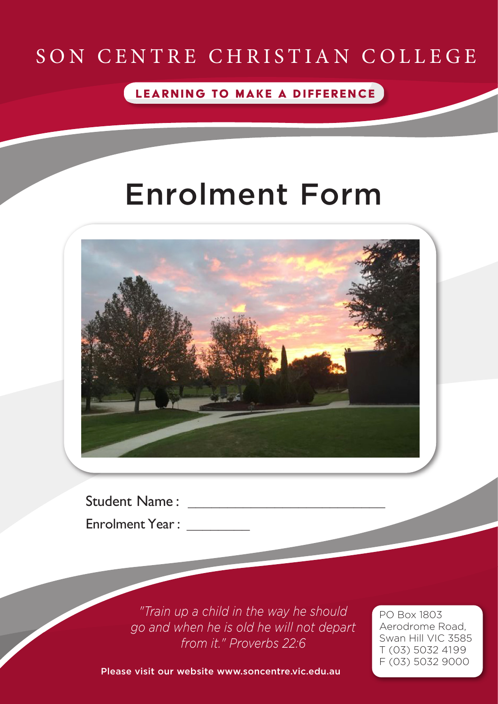### SON CENTRE CHRISTIAN COLLEGE

LEARNING TO MAKE A DIFFERENCE

# Enrolment Form



Student Name : \_\_\_\_\_\_\_\_\_\_\_\_\_\_\_\_\_\_\_\_\_\_\_\_\_

Enrolment Year :

*"Train up a child in the way he should go and when he is old he will not depart from it." Proverbs 22:6*

PO Box 1803 Aerodrome Road, Swan Hill VIC 3585 T (03) 5032 4199 F (03) 5032 9000

Please visit our website www.soncentre.vic.edu.au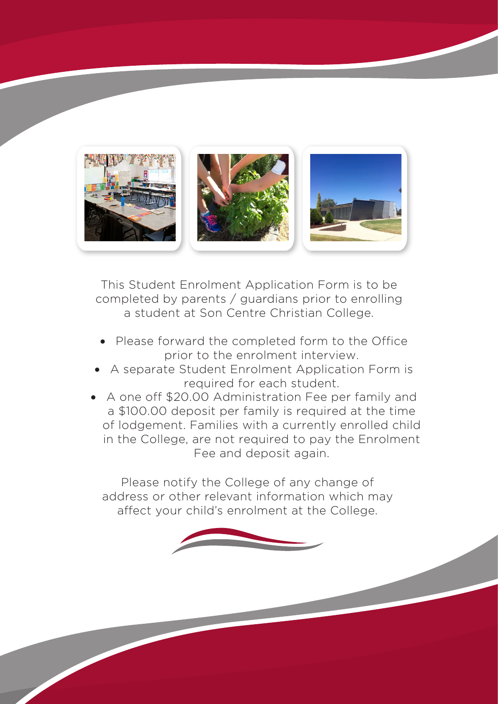

This Student Enrolment Application Form is to be completed by parents / guardians prior to enrolling a student at Son Centre Christian College.

- Please forward the completed form to the Office prior to the enrolment interview.
- A separate Student Enrolment Application Form is required for each student.
- A one off \$20.00 Administration Fee per family and a \$100.00 deposit per family is required at the time of lodgement. Families with a currently enrolled child in the College, are not required to pay the Enrolment Fee and deposit again.

Please notify the College of any change of address or other relevant information which may affect your child's enrolment at the College.

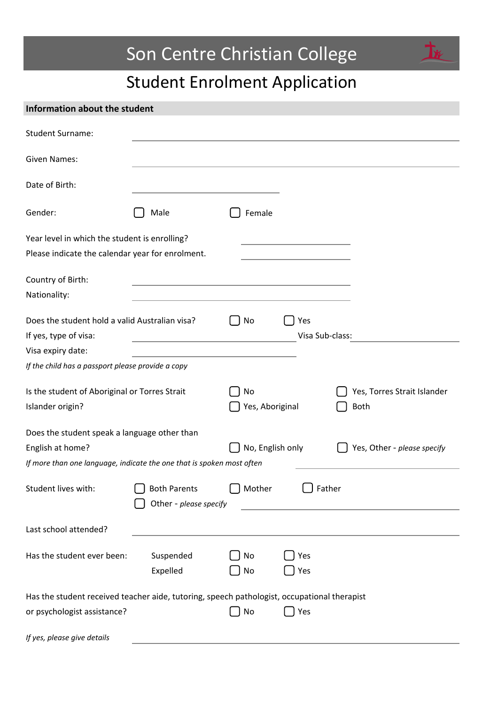### Son Centre Christian College



 $\mathbf{T}$ 

| Information about the student                                                                           |                                               |                 |                             |                             |
|---------------------------------------------------------------------------------------------------------|-----------------------------------------------|-----------------|-----------------------------|-----------------------------|
| <b>Student Surname:</b>                                                                                 |                                               |                 |                             |                             |
| <b>Given Names:</b>                                                                                     |                                               |                 |                             |                             |
| Date of Birth:                                                                                          |                                               |                 |                             |                             |
| Gender:                                                                                                 | Male                                          | Female          |                             |                             |
| Year level in which the student is enrolling?<br>Please indicate the calendar year for enrolment.       |                                               |                 |                             |                             |
| Country of Birth:<br>Nationality:                                                                       |                                               |                 |                             |                             |
| Does the student hold a valid Australian visa?<br>No<br>Yes<br>Visa Sub-class:<br>If yes, type of visa: |                                               |                 |                             |                             |
| Visa expiry date:                                                                                       |                                               |                 |                             |                             |
| If the child has a passport please provide a copy                                                       |                                               |                 |                             |                             |
| Is the student of Aboriginal or Torres Strait                                                           |                                               | No              |                             | Yes, Torres Strait Islander |
| Islander origin?                                                                                        |                                               | Yes, Aboriginal |                             | <b>Both</b>                 |
| Does the student speak a language other than                                                            |                                               |                 |                             |                             |
| English at home?                                                                                        | No, English only                              |                 | Yes, Other - please specify |                             |
| If more than one language, indicate the one that is spoken most often                                   |                                               |                 |                             |                             |
| Student lives with:                                                                                     | <b>Both Parents</b><br>Other - please specify | Mother          | Father                      |                             |
| Last school attended?                                                                                   |                                               |                 |                             |                             |
| Has the student ever been:                                                                              | Suspended<br>Expelled                         | No<br>No        | Yes<br>Yes                  |                             |
| Has the student received teacher aide, tutoring, speech pathologist, occupational therapist             |                                               |                 |                             |                             |
| or psychologist assistance?                                                                             |                                               | No              | Yes                         |                             |
| If yes, please give details                                                                             |                                               |                 |                             |                             |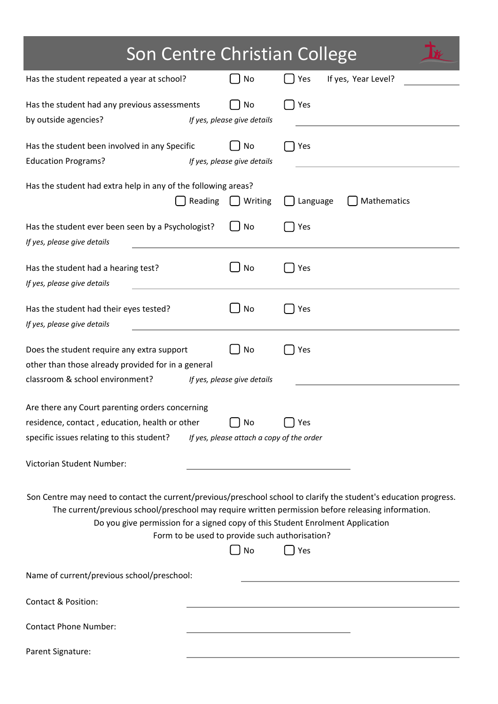| Son Centre Christian College                                                                                                                                                                                                                                                                                                                                             |                                   |                            |  |
|--------------------------------------------------------------------------------------------------------------------------------------------------------------------------------------------------------------------------------------------------------------------------------------------------------------------------------------------------------------------------|-----------------------------------|----------------------------|--|
| Has the student repeated a year at school?                                                                                                                                                                                                                                                                                                                               | No                                | If yes, Year Level?<br>Yes |  |
| Has the student had any previous assessments<br>by outside agencies?                                                                                                                                                                                                                                                                                                     | No<br>If yes, please give details | Yes                        |  |
| Has the student been involved in any Specific<br><b>Education Programs?</b>                                                                                                                                                                                                                                                                                              | No<br>If yes, please give details | Yes                        |  |
| Has the student had extra help in any of the following areas?<br>Reading<br>Writing<br>Mathematics<br>Language                                                                                                                                                                                                                                                           |                                   |                            |  |
| Has the student ever been seen by a Psychologist?<br>If yes, please give details                                                                                                                                                                                                                                                                                         | No                                | Yes                        |  |
| Has the student had a hearing test?<br>If yes, please give details                                                                                                                                                                                                                                                                                                       | No                                | Yes                        |  |
| Has the student had their eyes tested?<br>If yes, please give details                                                                                                                                                                                                                                                                                                    | No                                | Yes                        |  |
| Does the student require any extra support<br>other than those already provided for in a general<br>classroom & school environment?                                                                                                                                                                                                                                      | No<br>If yes, please give details | Yes                        |  |
| Are there any Court parenting orders concerning<br>residence, contact, education, health or other<br>No<br>Yes<br>specific issues relating to this student?<br>If yes, please attach a copy of the order                                                                                                                                                                 |                                   |                            |  |
| Victorian Student Number:                                                                                                                                                                                                                                                                                                                                                |                                   |                            |  |
| Son Centre may need to contact the current/previous/preschool school to clarify the student's education progress.<br>The current/previous school/preschool may require written permission before releasing information.<br>Do you give permission for a signed copy of this Student Enrolment Application<br>Form to be used to provide such authorisation?<br>No<br>Yes |                                   |                            |  |
| Name of current/previous school/preschool:                                                                                                                                                                                                                                                                                                                               |                                   |                            |  |
| <b>Contact &amp; Position:</b>                                                                                                                                                                                                                                                                                                                                           |                                   |                            |  |
| <b>Contact Phone Number:</b>                                                                                                                                                                                                                                                                                                                                             |                                   |                            |  |
| Parent Signature:                                                                                                                                                                                                                                                                                                                                                        |                                   |                            |  |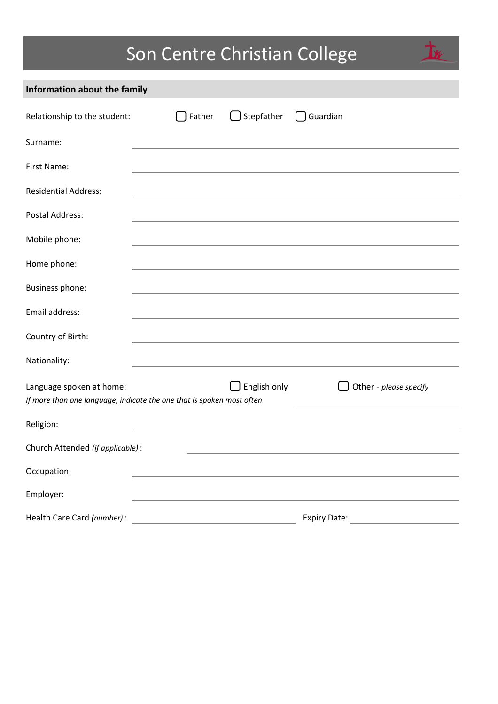# Son Centre Christian College

卡

| Information about the family                                                                      |          |                     |                        |
|---------------------------------------------------------------------------------------------------|----------|---------------------|------------------------|
| Relationship to the student:                                                                      | □ Father | $\Box$ Stepfather   | $\bigcap$ Guardian     |
| Surname:                                                                                          |          |                     |                        |
| First Name:                                                                                       |          |                     |                        |
| <b>Residential Address:</b>                                                                       |          |                     |                        |
| <b>Postal Address:</b>                                                                            |          |                     |                        |
| Mobile phone:                                                                                     |          |                     |                        |
| Home phone:                                                                                       |          |                     |                        |
| <b>Business phone:</b>                                                                            |          |                     |                        |
| Email address:                                                                                    |          |                     |                        |
| Country of Birth:                                                                                 |          |                     |                        |
| Nationality:                                                                                      |          |                     |                        |
| Language spoken at home:<br>If more than one language, indicate the one that is spoken most often |          | $\Box$ English only | Other - please specify |
| Religion:                                                                                         |          |                     |                        |
| Church Attended (if applicable):                                                                  |          |                     |                        |
| Occupation:                                                                                       |          |                     |                        |
| Employer:                                                                                         |          |                     |                        |
| Health Care Card (number) :                                                                       |          |                     | <b>Expiry Date:</b>    |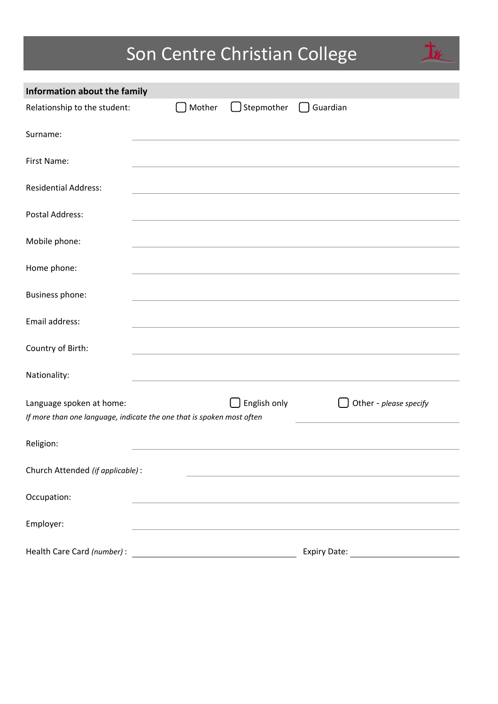# Son Centre Christian College

| Information about the family                                                                      |        |              |                        |
|---------------------------------------------------------------------------------------------------|--------|--------------|------------------------|
| Relationship to the student:                                                                      | Mother | Stepmother   | $\bigcap$ Guardian     |
| Surname:                                                                                          |        |              |                        |
| First Name:                                                                                       |        |              |                        |
| <b>Residential Address:</b>                                                                       |        |              |                        |
| <b>Postal Address:</b>                                                                            |        |              |                        |
| Mobile phone:                                                                                     |        |              |                        |
| Home phone:                                                                                       |        |              |                        |
| Business phone:                                                                                   |        |              |                        |
| Email address:                                                                                    |        |              |                        |
| Country of Birth:                                                                                 |        |              |                        |
| Nationality:                                                                                      |        |              |                        |
| Language spoken at home:<br>If more than one language, indicate the one that is spoken most often |        | English only | Other - please specify |
| Religion:                                                                                         |        |              |                        |
| Church Attended (if applicable):                                                                  |        |              |                        |
| Occupation:                                                                                       |        |              |                        |
| Employer:                                                                                         |        |              |                        |
| Health Care Card (number) :                                                                       |        |              | <b>Expiry Date:</b>    |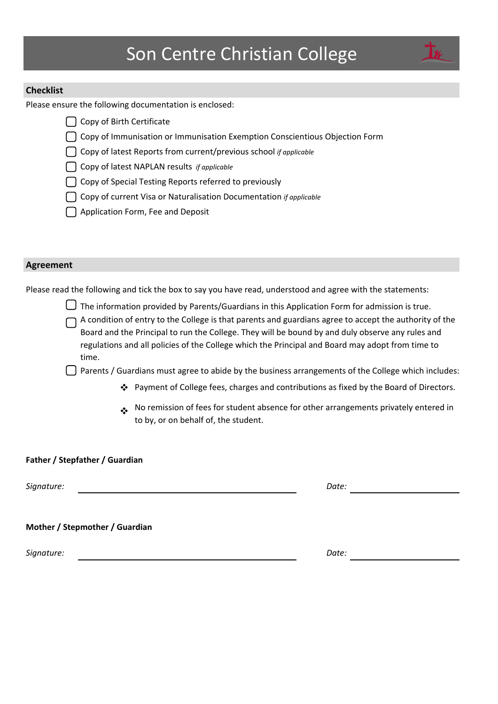#### **Checklist**

Please ensure the following documentation is enclosed:

- $\bigcap$  Copy of Birth Certificate
- $\bigcap$  Copy of Immunisation or Immunisation Exemption Conscientious Objection Form
- ◯ Copy of latest Reports from current/previous school *if applicable*
- Copy of latest NAPLAN results *if applicable*
- $\Box$  Copy of Special Testing Reports referred to previously
- □ Copy of current Visa or Naturalisation Documentation *if applicable*
- $\bigcap$  Application Form, Fee and Deposit

#### **Agreement**

Please read the following and tick the box to say you have read, understood and agree with the statements:

The information provided by Parents/Guardians in this Application Form for admission is true.

A condition of entry to the College is that parents and guardians agree to accept the authority of the Board and the Principal to run the College. They will be bound by and duly observe any rules and regulations and all policies of the College which the Principal and Board may adopt from time to time.

 $\Box$  Parents / Guardians must agree to abide by the business arrangements of the College which includes:

- ❖ Payment of College fees, charges and contributions as fixed by the Board of Directors.
- ◆ No remission of fees for student absence for other arrangements privately entered in to by, or on behalf of, the student.

#### Father / Stepfather / Guardian

*Signature: Date:*

#### **Mother / Stepmother / Guardian**

*Signature: Date:*